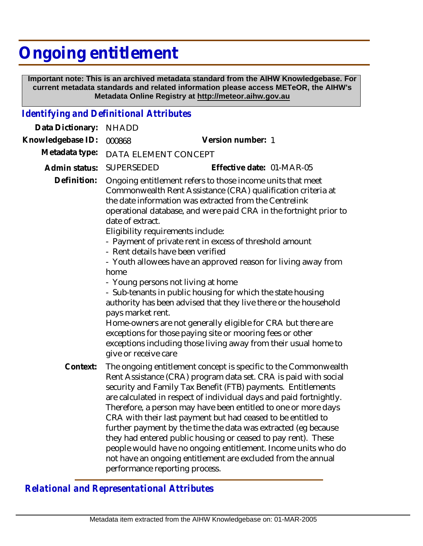## **Ongoing entitlement**

 **Important note: This is an archived metadata standard from the AIHW Knowledgebase. For current metadata standards and related information please access METeOR, the AIHW's Metadata Online Registry at http://meteor.aihw.gov.au**

## *Identifying and Definitional Attributes*

| Data Dictionary:                           | <b>NHADD</b>                                                                                                                                                                          |                                                                                                                                                                                                                                                                                                                                                                                                                                                                                                                                                                                                                                                                                                                          |  |
|--------------------------------------------|---------------------------------------------------------------------------------------------------------------------------------------------------------------------------------------|--------------------------------------------------------------------------------------------------------------------------------------------------------------------------------------------------------------------------------------------------------------------------------------------------------------------------------------------------------------------------------------------------------------------------------------------------------------------------------------------------------------------------------------------------------------------------------------------------------------------------------------------------------------------------------------------------------------------------|--|
| Knowledgebase ID:                          | 000868                                                                                                                                                                                | Version number: 1                                                                                                                                                                                                                                                                                                                                                                                                                                                                                                                                                                                                                                                                                                        |  |
| Metadata type:                             | DATA ELEMENT CONCEPT                                                                                                                                                                  |                                                                                                                                                                                                                                                                                                                                                                                                                                                                                                                                                                                                                                                                                                                          |  |
| Admin status:                              | <b>SUPERSEDED</b>                                                                                                                                                                     | Effective date: 01-MAR-05                                                                                                                                                                                                                                                                                                                                                                                                                                                                                                                                                                                                                                                                                                |  |
| Definition:                                | date of extract.<br>Eligibility requirements include:<br>- Rent details have been verified<br>home<br>- Young persons not living at home<br>pays market rent.<br>give or receive care | Ongoing entitlement refers to those income units that meet<br>Commonwealth Rent Assistance (CRA) qualification criteria at<br>the date information was extracted from the Centrelink<br>operational database, and were paid CRA in the fortnight prior to<br>- Payment of private rent in excess of threshold amount<br>- Youth allowees have an approved reason for living away from<br>- Sub-tenants in public housing for which the state housing<br>authority has been advised that they live there or the household<br>Home-owners are not generally eligible for CRA but there are<br>exceptions for those paying site or mooring fees or other<br>exceptions including those living away from their usual home to |  |
| Context:<br>performance reporting process. |                                                                                                                                                                                       | The ongoing entitlement concept is specific to the Commonwealth<br>Rent Assistance (CRA) program data set. CRA is paid with social<br>security and Family Tax Benefit (FTB) payments. Entitlements<br>are calculated in respect of individual days and paid fortnightly.<br>Therefore, a person may have been entitled to one or more days<br>CRA with their last payment but had ceased to be entitled to<br>further payment by the time the data was extracted (eg because<br>they had entered public housing or ceased to pay rent). These<br>people would have no ongoing entitlement. Income units who do<br>not have an ongoing entitlement are excluded from the annual                                           |  |

*Relational and Representational Attributes*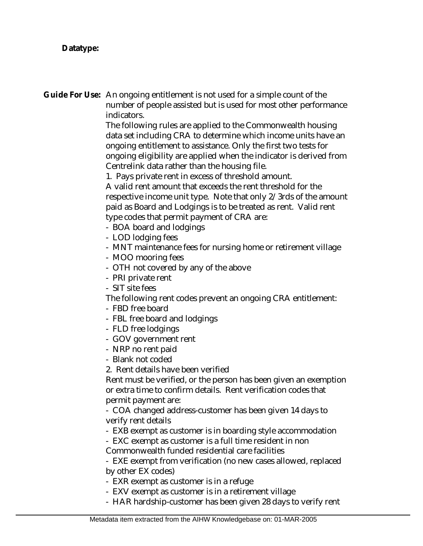**Datatype:**

Guide For Use: An ongoing entitlement is not used for a simple count of the number of people assisted but is used for most other performance indicators.

The following rules are applied to the Commonwealth housing data set including CRA to determine which income units have an ongoing entitlement to assistance. Only the first two tests for ongoing eligibility are applied when the indicator is derived from Centrelink data rather than the housing file.

1. Pays private rent in excess of threshold amount.

A valid rent amount that exceeds the rent threshold for the respective income unit type. Note that only 2/3rds of the amount paid as Board and Lodgings is to be treated as rent. Valid rent type codes that permit payment of CRA are:

- BOA board and lodgings
- LOD lodging fees
- MNT maintenance fees for nursing home or retirement village
- MOO mooring fees
- OTH not covered by any of the above
- PRI private rent
- SIT site fees

The following rent codes prevent an ongoing CRA entitlement:

- FBD free board
- FBL free board and lodgings
- FLD free lodgings
- GOV government rent
- NRP no rent paid
- Blank not coded
- 2. Rent details have been verified

Rent must be verified, or the person has been given an exemption or extra time to confirm details. Rent verification codes that permit payment are:

- COA changed address-customer has been given 14 days to verify rent details

- EXB exempt as customer is in boarding style accommodation

- EXC exempt as customer is a full time resident in non

Commonwealth funded residential care facilities

- EXE exempt from verification (no new cases allowed, replaced by other EX codes)

- EXR exempt as customer is in a refuge
- EXV exempt as customer is in a retirement village
- HAR hardship-customer has been given 28 days to verify rent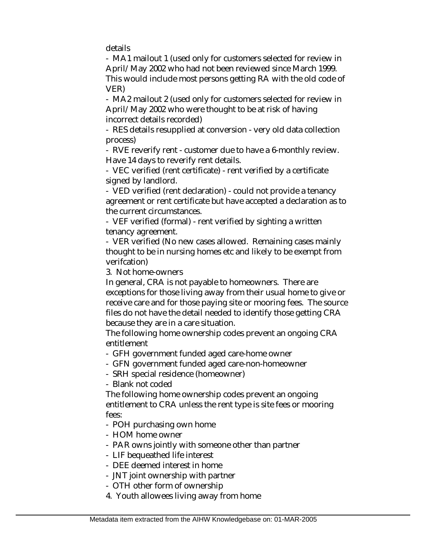details

- MA1 mailout 1 (used only for customers selected for review in April/May 2002 who had not been reviewed since March 1999. This would include most persons getting RA with the old code of VER)

- MA2 mailout 2 (used only for customers selected for review in April/May 2002 who were thought to be at risk of having incorrect details recorded)

- RES details resupplied at conversion - very old data collection process)

- RVE reverify rent - customer due to have a 6-monthly review. Have 14 days to reverify rent details.

- VEC verified (rent certificate) - rent verified by a certificate signed by landlord.

- VED verified (rent declaration) - could not provide a tenancy agreement or rent certificate but have accepted a declaration as to the current circumstances.

- VEF verified (formal) - rent verified by sighting a written tenancy agreement.

- VER verified (No new cases allowed. Remaining cases mainly thought to be in nursing homes etc and likely to be exempt from verifcation)

3. Not home-owners

In general, CRA is not payable to homeowners. There are exceptions for those living away from their usual home to give or receive care and for those paying site or mooring fees. The source files do not have the detail needed to identify those getting CRA because they are in a care situation.

The following home ownership codes prevent an ongoing CRA entitlement

- GFH government funded aged care-home owner
- GFN government funded aged care-non-homeowner
- SRH special residence (homeowner)

- Blank not coded

The following home ownership codes prevent an ongoing entitlement to CRA unless the rent type is site fees or mooring fees:

- POH purchasing own home

- HOM home owner
- PAR owns jointly with someone other than partner
- LIF bequeathed life interest
- DEE deemed interest in home
- JNT joint ownership with partner
- OTH other form of ownership
- 4. Youth allowees living away from home